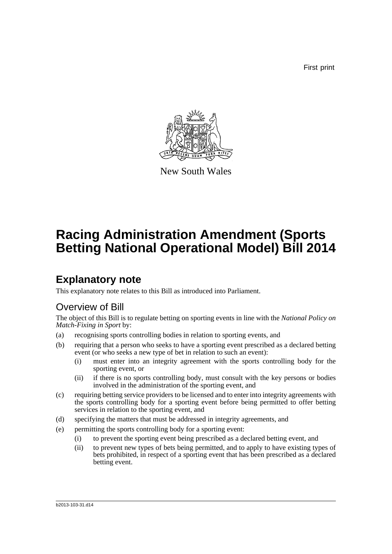First print



New South Wales

# **Racing Administration Amendment (Sports Betting National Operational Model) Bill 2014**

## **Explanatory note**

This explanatory note relates to this Bill as introduced into Parliament.

### Overview of Bill

The object of this Bill is to regulate betting on sporting events in line with the *National Policy on Match-Fixing in Sport* by:

- (a) recognising sports controlling bodies in relation to sporting events, and
- (b) requiring that a person who seeks to have a sporting event prescribed as a declared betting event (or who seeks a new type of bet in relation to such an event):
	- (i) must enter into an integrity agreement with the sports controlling body for the sporting event, or
	- (ii) if there is no sports controlling body, must consult with the key persons or bodies involved in the administration of the sporting event, and
- (c) requiring betting service providers to be licensed and to enter into integrity agreements with the sports controlling body for a sporting event before being permitted to offer betting services in relation to the sporting event, and
- (d) specifying the matters that must be addressed in integrity agreements, and
- (e) permitting the sports controlling body for a sporting event:
	- (i) to prevent the sporting event being prescribed as a declared betting event, and
	- (ii) to prevent new types of bets being permitted, and to apply to have existing types of bets prohibited, in respect of a sporting event that has been prescribed as a declared betting event.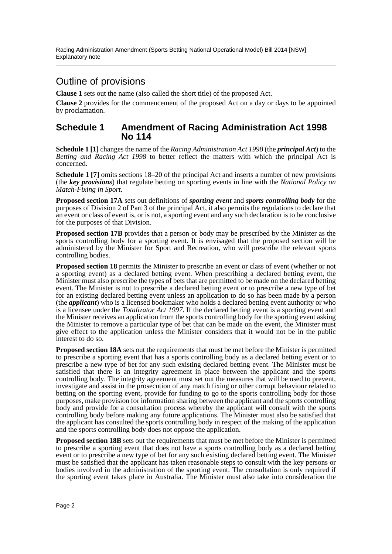### Outline of provisions

**Clause 1** sets out the name (also called the short title) of the proposed Act.

**Clause 2** provides for the commencement of the proposed Act on a day or days to be appointed by proclamation.

#### **Schedule 1 Amendment of Racing Administration Act 1998 No 114**

**Schedule 1 [1]** changes the name of the *Racing Administration Act 1998* (the *principal Act*) to the *Betting and Racing Act 1998* to better reflect the matters with which the principal Act is concerned.

**Schedule 1** [7] omits sections 18–20 of the principal Act and inserts a number of new provisions (the *key provisions*) that regulate betting on sporting events in line with the *National Policy on Match-Fixing in Sport*.

**Proposed section 17A** sets out definitions of *sporting event* and *sports controlling body* for the purposes of Division 2 of Part 3 of the principal Act, it also permits the regulations to declare that an event or class of event is, or is not, a sporting event and any such declaration is to be conclusive for the purposes of that Division.

**Proposed section 17B** provides that a person or body may be prescribed by the Minister as the sports controlling body for a sporting event. It is envisaged that the proposed section will be administered by the Minister for Sport and Recreation, who will prescribe the relevant sports controlling bodies.

**Proposed section 18** permits the Minister to prescribe an event or class of event (whether or not a sporting event) as a declared betting event. When prescribing a declared betting event, the Minister must also prescribe the types of bets that are permitted to be made on the declared betting event. The Minister is not to prescribe a declared betting event or to prescribe a new type of bet for an existing declared betting event unless an application to do so has been made by a person (the *applicant*) who is a licensed bookmaker who holds a declared betting event authority or who is a licensee under the *Totalizator Act 1997*. If the declared betting event is a sporting event and the Minister receives an application from the sports controlling body for the sporting event asking the Minister to remove a particular type of bet that can be made on the event, the Minister must give effect to the application unless the Minister considers that it would not be in the public interest to do so.

**Proposed section 18A** sets out the requirements that must be met before the Minister is permitted to prescribe a sporting event that has a sports controlling body as a declared betting event or to prescribe a new type of bet for any such existing declared betting event. The Minister must be satisfied that there is an integrity agreement in place between the applicant and the sports controlling body. The integrity agreement must set out the measures that will be used to prevent, investigate and assist in the prosecution of any match fixing or other corrupt behaviour related to betting on the sporting event, provide for funding to go to the sports controlling body for those purposes, make provision for information sharing between the applicant and the sports controlling body and provide for a consultation process whereby the applicant will consult with the sports controlling body before making any future applications. The Minister must also be satisfied that the applicant has consulted the sports controlling body in respect of the making of the application and the sports controlling body does not oppose the application.

**Proposed section 18B** sets out the requirements that must be met before the Minister is permitted to prescribe a sporting event that does not have a sports controlling body as a declared betting event or to prescribe a new type of bet for any such existing declared betting event. The Minister must be satisfied that the applicant has taken reasonable steps to consult with the key persons or bodies involved in the administration of the sporting event. The consultation is only required if the sporting event takes place in Australia. The Minister must also take into consideration the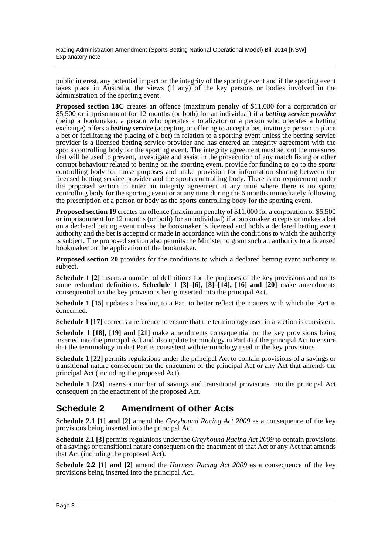Racing Administration Amendment (Sports Betting National Operational Model) Bill 2014 [NSW] Explanatory note

public interest, any potential impact on the integrity of the sporting event and if the sporting event takes place in Australia, the views (if any) of the key persons or bodies involved in the administration of the sporting event.

**Proposed section 18C** creates an offence (maximum penalty of \$11,000 for a corporation or \$5,500 or imprisonment for 12 months (or both) for an individual) if a *betting service provider* (being a bookmaker, a person who operates a totalizator or a person who operates a betting exchange) offers a *betting service* (accepting or offering to accept a bet, inviting a person to place a bet or facilitating the placing of a bet) in relation to a sporting event unless the betting service provider is a licensed betting service provider and has entered an integrity agreement with the sports controlling body for the sporting event. The integrity agreement must set out the measures that will be used to prevent, investigate and assist in the prosecution of any match fixing or other corrupt behaviour related to betting on the sporting event, provide for funding to go to the sports controlling body for those purposes and make provision for information sharing between the licensed betting service provider and the sports controlling body. There is no requirement under the proposed section to enter an integrity agreement at any time where there is no sports controlling body for the sporting event or at any time during the 6 months immediately following the prescription of a person or body as the sports controlling body for the sporting event.

**Proposed section 19** creates an offence (maximum penalty of \$11,000 for a corporation or \$5,500 or imprisonment for 12 months (or both) for an individual) if a bookmaker accepts or makes a bet on a declared betting event unless the bookmaker is licensed and holds a declared betting event authority and the bet is accepted or made in accordance with the conditions to which the authority is subject. The proposed section also permits the Minister to grant such an authority to a licensed bookmaker on the application of the bookmaker.

**Proposed section 20** provides for the conditions to which a declared betting event authority is subject.

**Schedule 1 [2]** inserts a number of definitions for the purposes of the key provisions and omits some redundant definitions. **Schedule 1 [3]–[6], [8]–[14], [16] and [20]** make amendments consequential on the key provisions being inserted into the principal Act.

**Schedule 1 [15]** updates a heading to a Part to better reflect the matters with which the Part is concerned.

**Schedule 1 [17]** corrects a reference to ensure that the terminology used in a section is consistent.

**Schedule 1 [18], [19] and [21]** make amendments consequential on the key provisions being inserted into the principal Act and also update terminology in Part 4 of the principal Act to ensure that the terminology in that Part is consistent with terminology used in the key provisions.

**Schedule 1 [22]** permits regulations under the principal Act to contain provisions of a savings or transitional nature consequent on the enactment of the principal Act or any Act that amends the principal Act (including the proposed Act).

**Schedule 1 [23]** inserts a number of savings and transitional provisions into the principal Act consequent on the enactment of the proposed Act.

#### **Schedule 2 Amendment of other Acts**

**Schedule 2.1 [1] and [2]** amend the *Greyhound Racing Act 2009* as a consequence of the key provisions being inserted into the principal Act.

**Schedule 2.1 [3]** permits regulations under the *Greyhound Racing Act 2009* to contain provisions of a savings or transitional nature consequent on the enactment of that Act or any Act that amends that Act (including the proposed Act).

**Schedule 2.2 [1] and [2]** amend the *Harness Racing Act 2009* as a consequence of the key provisions being inserted into the principal Act.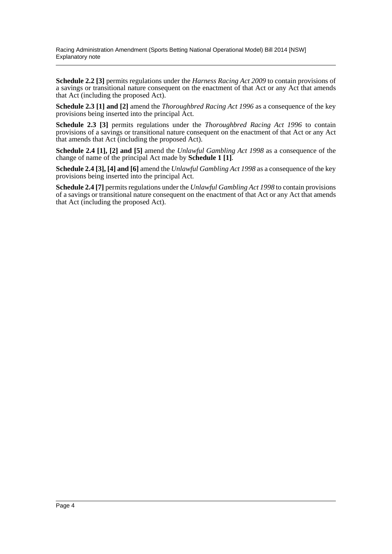Racing Administration Amendment (Sports Betting National Operational Model) Bill 2014 [NSW] Explanatory note

**Schedule 2.2 [3]** permits regulations under the *Harness Racing Act 2009* to contain provisions of a savings or transitional nature consequent on the enactment of that Act or any Act that amends that Act (including the proposed Act).

**Schedule 2.3 [1] and [2]** amend the *Thoroughbred Racing Act 1996* as a consequence of the key provisions being inserted into the principal Act.

**Schedule 2.3 [3]** permits regulations under the *Thoroughbred Racing Act 1996* to contain provisions of a savings or transitional nature consequent on the enactment of that Act or any Act that amends that Act (including the proposed Act).

**Schedule 2.4 [1], [2] and [5]** amend the *Unlawful Gambling Act 1998* as a consequence of the change of name of the principal Act made by **Schedule 1 [1]**.

**Schedule 2.4 [3], [4] and [6]** amend the *Unlawful Gambling Act 1998* as a consequence of the key provisions being inserted into the principal Act.

**Schedule 2.4 [7]** permits regulations under the *Unlawful Gambling Act 1998* to contain provisions of a savings or transitional nature consequent on the enactment of that Act or any Act that amends that Act (including the proposed Act).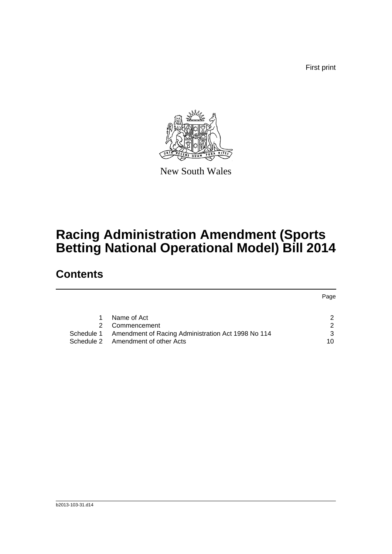First print



New South Wales

# **Racing Administration Amendment (Sports Betting National Operational Model) Bill 2014**

### **Contents**

|    |                                                               | Page |
|----|---------------------------------------------------------------|------|
|    |                                                               |      |
| 1. | Name of Act                                                   | 2    |
|    | Commencement                                                  | າ    |
|    | Schedule 1 Amendment of Racing Administration Act 1998 No 114 | 3    |
|    | Schedule 2 Amendment of other Acts                            | 10   |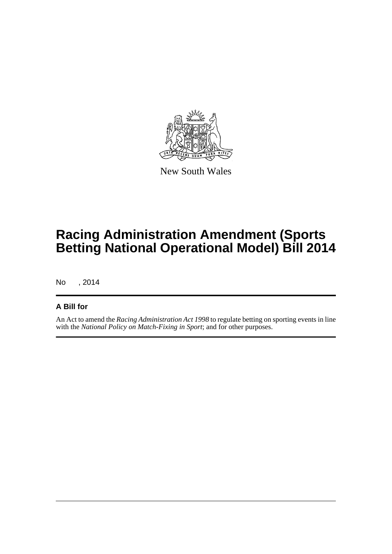

New South Wales

# **Racing Administration Amendment (Sports Betting National Operational Model) Bill 2014**

No , 2014

#### **A Bill for**

An Act to amend the *Racing Administration Act 1998* to regulate betting on sporting events in line with the *National Policy on Match-Fixing in Sport*; and for other purposes.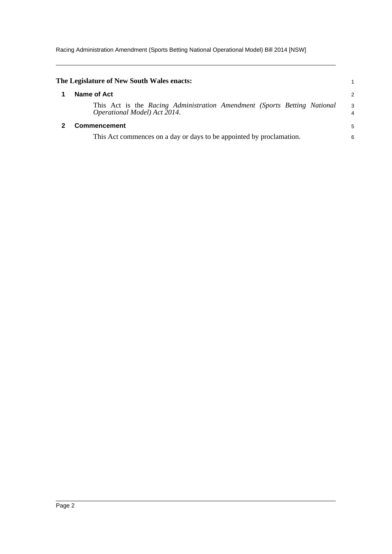Racing Administration Amendment (Sports Betting National Operational Model) Bill 2014 [NSW]

<span id="page-6-1"></span><span id="page-6-0"></span>

| The Legislature of New South Wales enacts:                                                               | 1                   |
|----------------------------------------------------------------------------------------------------------|---------------------|
| Name of Act                                                                                              | $\mathcal{P}$       |
| This Act is the Racing Administration Amendment (Sports Betting National<br>Operational Model) Act 2014. | 3<br>$\overline{4}$ |
| <b>Commencement</b>                                                                                      | 5                   |
| This Act commences on a day or days to be appointed by proclamation.                                     | 6                   |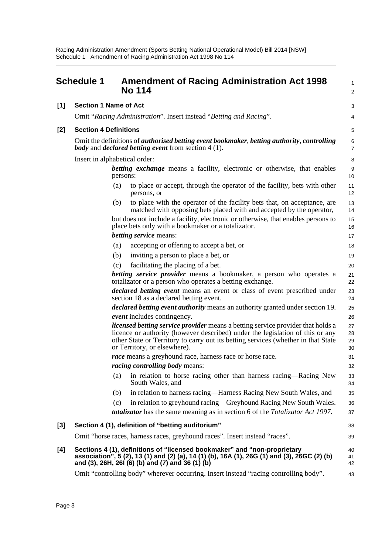<span id="page-7-0"></span>

|     | <b>Schedule 1</b>            | <b>Amendment of Racing Administration Act 1998</b><br><b>No 114</b>                                                                                                                                                                                                                          | $\mathbf{1}$<br>2    |  |  |  |  |  |
|-----|------------------------------|----------------------------------------------------------------------------------------------------------------------------------------------------------------------------------------------------------------------------------------------------------------------------------------------|----------------------|--|--|--|--|--|
| [1] | <b>Section 1 Name of Act</b> |                                                                                                                                                                                                                                                                                              | 3                    |  |  |  |  |  |
|     |                              | Omit "Racing Administration". Insert instead "Betting and Racing".                                                                                                                                                                                                                           | 4                    |  |  |  |  |  |
| [2] | <b>Section 4 Definitions</b> |                                                                                                                                                                                                                                                                                              | 5                    |  |  |  |  |  |
|     |                              | Omit the definitions of <i>authorised betting event bookmaker</i> , <i>betting authority</i> , <i>controlling</i><br><b>body</b> and <b><i>declared</i></b> betting event from section 4 (1).                                                                                                | 6<br>$\overline{7}$  |  |  |  |  |  |
|     |                              | Insert in alphabetical order:                                                                                                                                                                                                                                                                |                      |  |  |  |  |  |
|     |                              | <b>betting exchange</b> means a facility, electronic or otherwise, that enables<br>persons:                                                                                                                                                                                                  | 9<br>10              |  |  |  |  |  |
|     | (a)                          | to place or accept, through the operator of the facility, bets with other<br>persons, or                                                                                                                                                                                                     | 11<br>12             |  |  |  |  |  |
|     | (b)                          | to place with the operator of the facility bets that, on acceptance, are<br>matched with opposing bets placed with and accepted by the operator,                                                                                                                                             | 13<br>14             |  |  |  |  |  |
|     |                              | but does not include a facility, electronic or otherwise, that enables persons to<br>place bets only with a bookmaker or a totalizator.                                                                                                                                                      | 15<br>16             |  |  |  |  |  |
|     |                              | <i>betting service</i> means:                                                                                                                                                                                                                                                                | 17                   |  |  |  |  |  |
|     | (a)                          | accepting or offering to accept a bet, or                                                                                                                                                                                                                                                    | 18                   |  |  |  |  |  |
|     | (b)                          | inviting a person to place a bet, or                                                                                                                                                                                                                                                         | 19                   |  |  |  |  |  |
|     | (c)                          | facilitating the placing of a bet.                                                                                                                                                                                                                                                           | 20                   |  |  |  |  |  |
|     |                              | <b>betting service provider</b> means a bookmaker, a person who operates a<br>totalizator or a person who operates a betting exchange.                                                                                                                                                       | 21<br>22             |  |  |  |  |  |
|     |                              | declared betting event means an event or class of event prescribed under<br>section 18 as a declared betting event.                                                                                                                                                                          | 23<br>24             |  |  |  |  |  |
|     |                              | <i>declared betting event authority</i> means an authority granted under section 19.                                                                                                                                                                                                         | 25                   |  |  |  |  |  |
|     |                              | <i>event</i> includes contingency.                                                                                                                                                                                                                                                           | 26                   |  |  |  |  |  |
|     |                              | <i>licensed betting service provider</i> means a betting service provider that holds a<br>licence or authority (however described) under the legislation of this or any<br>other State or Territory to carry out its betting services (whether in that State<br>or Territory, or elsewhere). | 27<br>28<br>29<br>30 |  |  |  |  |  |
|     |                              | race means a greyhound race, harness race or horse race.                                                                                                                                                                                                                                     | 31                   |  |  |  |  |  |
|     |                              | <i>racing controlling body</i> means:                                                                                                                                                                                                                                                        | 32                   |  |  |  |  |  |
|     | (a)                          | in relation to horse racing other than harness racing-Racing New<br>South Wales, and                                                                                                                                                                                                         | 33<br>34             |  |  |  |  |  |
|     | (b)                          | in relation to harness racing—Harness Racing New South Wales, and                                                                                                                                                                                                                            | 35                   |  |  |  |  |  |
|     | (c)                          | in relation to greyhound racing—Greyhound Racing New South Wales.                                                                                                                                                                                                                            | 36                   |  |  |  |  |  |
|     |                              | <b>totalizator</b> has the same meaning as in section 6 of the <i>Totalizator Act 1997</i> .                                                                                                                                                                                                 | 37                   |  |  |  |  |  |
| [3] |                              | Section 4 (1), definition of "betting auditorium"                                                                                                                                                                                                                                            | 38                   |  |  |  |  |  |
|     |                              | Omit "horse races, harness races, greyhound races". Insert instead "races".                                                                                                                                                                                                                  | 39                   |  |  |  |  |  |
| [4] |                              | Sections 4 (1), definitions of "licensed bookmaker" and "non-proprietary<br>association", 5 (2), 13 (1) and (2) (a), 14 (1) (b), 16A (1), 26G (1) and (3), 26GC (2) (b)<br>and (3), 26H, 26I (6) (b) and (7) and 36 (1) (b)                                                                  | 40<br>41<br>42       |  |  |  |  |  |
|     |                              | Omit "controlling body" wherever occurring. Insert instead "racing controlling body".                                                                                                                                                                                                        | 43                   |  |  |  |  |  |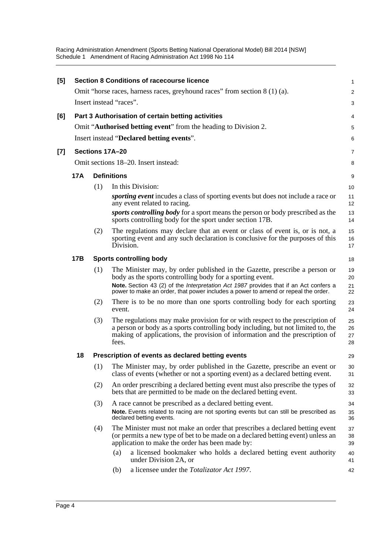| [5] |     |     | <b>Section 8 Conditions of racecourse licence</b>                                                                                                                                                                                                                                                                     | 1                    |
|-----|-----|-----|-----------------------------------------------------------------------------------------------------------------------------------------------------------------------------------------------------------------------------------------------------------------------------------------------------------------------|----------------------|
|     |     |     | Omit "horse races, harness races, greyhound races" from section 8 (1) (a).                                                                                                                                                                                                                                            | $\overline{a}$       |
|     |     |     | Insert instead "races".                                                                                                                                                                                                                                                                                               | 3                    |
| [6] |     |     | Part 3 Authorisation of certain betting activities                                                                                                                                                                                                                                                                    | 4                    |
|     |     |     | Omit "Authorised betting event" from the heading to Division 2.                                                                                                                                                                                                                                                       | 5                    |
|     |     |     | Insert instead "Declared betting events".                                                                                                                                                                                                                                                                             | 6                    |
| [7] |     |     | Sections 17A-20                                                                                                                                                                                                                                                                                                       | 7                    |
|     |     |     | Omit sections 18–20. Insert instead:                                                                                                                                                                                                                                                                                  | 8                    |
|     | 17A |     | <b>Definitions</b>                                                                                                                                                                                                                                                                                                    | 9                    |
|     |     | (1) | In this Division:                                                                                                                                                                                                                                                                                                     | 10                   |
|     |     |     | <i>sporting event</i> incudes a class of sporting events but does not include a race or<br>any event related to racing.                                                                                                                                                                                               | 11<br>12             |
|     |     |     | sports controlling body for a sport means the person or body prescribed as the<br>sports controlling body for the sport under section 17B.                                                                                                                                                                            | 13<br>14             |
|     |     | (2) | The regulations may declare that an event or class of event is, or is not, a<br>sporting event and any such declaration is conclusive for the purposes of this<br>Division.                                                                                                                                           | 15<br>16<br>17       |
|     | 17B |     | <b>Sports controlling body</b>                                                                                                                                                                                                                                                                                        | 18                   |
|     |     | (1) | The Minister may, by order published in the Gazette, prescribe a person or<br>body as the sports controlling body for a sporting event.<br>Note. Section 43 (2) of the Interpretation Act 1987 provides that if an Act confers a<br>power to make an order, that power includes a power to amend or repeal the order. | 19<br>20<br>21<br>22 |
|     |     | (2) | There is to be no more than one sports controlling body for each sporting<br>event.                                                                                                                                                                                                                                   | 23<br>24             |
|     |     | (3) | The regulations may make provision for or with respect to the prescription of<br>a person or body as a sports controlling body including, but not limited to, the<br>making of applications, the provision of information and the prescription of<br>fees.                                                            | 25<br>26<br>27<br>28 |
|     | 18  |     | Prescription of events as declared betting events                                                                                                                                                                                                                                                                     | 29                   |
|     |     | (1) | The Minister may, by order published in the Gazette, prescribe an event or<br>class of events (whether or not a sporting event) as a declared betting event.                                                                                                                                                          | 30<br>31             |
|     |     | (2) | An order prescribing a declared betting event must also prescribe the types of<br>bets that are permitted to be made on the declared betting event.                                                                                                                                                                   | 32<br>33             |
|     |     | (3) | A race cannot be prescribed as a declared betting event.<br>Note. Events related to racing are not sporting events but can still be prescribed as<br>declared betting events.                                                                                                                                         | 34<br>35<br>36       |
|     |     | (4) | The Minister must not make an order that prescribes a declared betting event<br>(or permits a new type of bet to be made on a declared betting event) unless an<br>application to make the order has been made by:                                                                                                    | 37<br>38<br>39       |
|     |     |     | a licensed bookmaker who holds a declared betting event authority<br>(a)<br>under Division 2A, or                                                                                                                                                                                                                     | 40<br>41             |
|     |     |     | a licensee under the <i>Totalizator Act 1997</i> .<br>(b)                                                                                                                                                                                                                                                             | 42                   |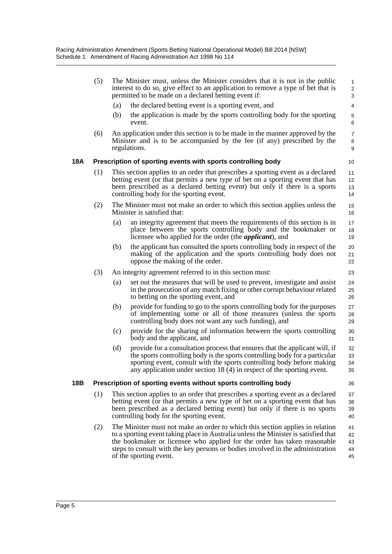|     | (5) |     | The Minister must, unless the Minister considers that it is not in the public<br>interest to do so, give effect to an application to remove a type of bet that is<br>permitted to be made on a declared betting event if:                                                                                                                                    | $\mathbf{1}$<br>$\overline{2}$<br>3 |
|-----|-----|-----|--------------------------------------------------------------------------------------------------------------------------------------------------------------------------------------------------------------------------------------------------------------------------------------------------------------------------------------------------------------|-------------------------------------|
|     |     | (a) | the declared betting event is a sporting event, and                                                                                                                                                                                                                                                                                                          | $\overline{4}$                      |
|     |     | (b) | the application is made by the sports controlling body for the sporting<br>event.                                                                                                                                                                                                                                                                            | 5<br>6                              |
|     | (6) |     | An application under this section is to be made in the manner approved by the<br>Minister and is to be accompanied by the fee (if any) prescribed by the<br>regulations.                                                                                                                                                                                     | $\overline{7}$<br>8<br>9            |
| 18A |     |     | Prescription of sporting events with sports controlling body                                                                                                                                                                                                                                                                                                 | 10                                  |
|     | (1) |     | This section applies to an order that prescribes a sporting event as a declared<br>betting event (or that permits a new type of bet on a sporting event that has<br>been prescribed as a declared betting event) but only if there is a sports<br>controlling body for the sporting event.                                                                   | 11<br>12<br>13<br>14                |
|     | (2) |     | The Minister must not make an order to which this section applies unless the<br>Minister is satisfied that:                                                                                                                                                                                                                                                  | 15<br>16                            |
|     |     | (a) | an integrity agreement that meets the requirements of this section is in<br>place between the sports controlling body and the bookmaker or<br>licensee who applied for the order (the <i>applicant</i> ), and                                                                                                                                                | 17<br>18<br>19                      |
|     |     | (b) | the applicant has consulted the sports controlling body in respect of the<br>making of the application and the sports controlling body does not<br>oppose the making of the order.                                                                                                                                                                           | 20<br>21<br>22                      |
|     | (3) |     | An integrity agreement referred to in this section must:                                                                                                                                                                                                                                                                                                     | 23                                  |
|     |     | (a) | set out the measures that will be used to prevent, investigate and assist<br>in the prosecution of any match fixing or other corrupt behaviour related<br>to betting on the sporting event, and                                                                                                                                                              | 24<br>25<br>26                      |
|     |     | (b) | provide for funding to go to the sports controlling body for the purposes<br>of implementing some or all of those measures (unless the sports<br>controlling body does not want any such funding), and                                                                                                                                                       | 27<br>28<br>29                      |
|     |     | (c) | provide for the sharing of information between the sports controlling<br>body and the applicant, and                                                                                                                                                                                                                                                         | 30<br>31                            |
|     |     | (d) | provide for a consultation process that ensures that the applicant will, if<br>the sports controlling body is the sports controlling body for a particular<br>sporting event, consult with the sports controlling body before making<br>any application under section 18 $(4)$ in respect of the sporting event.                                             | 32<br>33<br>34<br>35                |
| 18B |     |     | Prescription of sporting events without sports controlling body                                                                                                                                                                                                                                                                                              | 36                                  |
|     | (1) |     | This section applies to an order that prescribes a sporting event as a declared<br>betting event (or that permits a new type of bet on a sporting event that has<br>been prescribed as a declared betting event) but only if there is no sports<br>controlling body for the sporting event.                                                                  | 37<br>38<br>39<br>40                |
|     | (2) |     | The Minister must not make an order to which this section applies in relation<br>to a sporting event taking place in Australia unless the Minister is satisfied that<br>the bookmaker or licensee who applied for the order has taken reasonable<br>steps to consult with the key persons or bodies involved in the administration<br>of the sporting event. | 41<br>42<br>43<br>44<br>45          |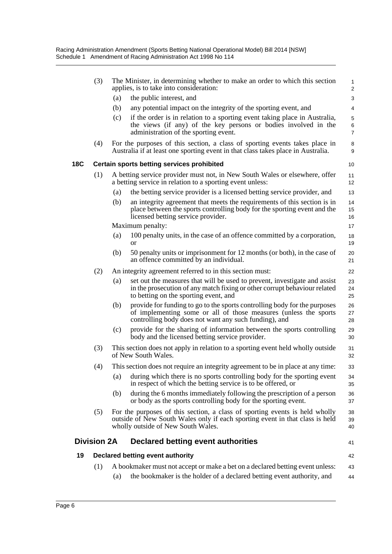|            | (3)                |     | The Minister, in determining whether to make an order to which this section<br>applies, is to take into consideration:                                                                                 | 1<br>2                   |
|------------|--------------------|-----|--------------------------------------------------------------------------------------------------------------------------------------------------------------------------------------------------------|--------------------------|
|            |                    | (a) | the public interest, and                                                                                                                                                                               | 3                        |
|            |                    | (b) | any potential impact on the integrity of the sporting event, and                                                                                                                                       | 4                        |
|            |                    | (c) | if the order is in relation to a sporting event taking place in Australia,<br>the views (if any) of the key persons or bodies involved in the<br>administration of the sporting event.                 | 5<br>6<br>$\overline{7}$ |
|            | (4)                |     | For the purposes of this section, a class of sporting events takes place in<br>Australia if at least one sporting event in that class takes place in Australia.                                        | 8<br>9                   |
| <b>18C</b> |                    |     | <b>Certain sports betting services prohibited</b>                                                                                                                                                      | 10                       |
|            | (1)                |     | A betting service provider must not, in New South Wales or elsewhere, offer<br>a betting service in relation to a sporting event unless:                                                               | 11<br>12                 |
|            |                    | (a) | the betting service provider is a licensed betting service provider, and                                                                                                                               | 13                       |
|            |                    | (b) | an integrity agreement that meets the requirements of this section is in<br>place between the sports controlling body for the sporting event and the<br>licensed betting service provider.             | 14<br>15<br>16           |
|            |                    |     | Maximum penalty:                                                                                                                                                                                       | 17                       |
|            |                    | (a) | 100 penalty units, in the case of an offence committed by a corporation,<br><b>or</b>                                                                                                                  | 18<br>19                 |
|            |                    | (b) | 50 penalty units or imprisonment for 12 months (or both), in the case of<br>an offence committed by an individual.                                                                                     | 20<br>21                 |
|            | (2)                |     | An integrity agreement referred to in this section must:                                                                                                                                               | 22                       |
|            |                    | (a) | set out the measures that will be used to prevent, investigate and assist<br>in the prosecution of any match fixing or other corrupt behaviour related<br>to betting on the sporting event, and        | 23<br>24<br>25           |
|            |                    | (b) | provide for funding to go to the sports controlling body for the purposes<br>of implementing some or all of those measures (unless the sports<br>controlling body does not want any such funding), and | 26<br>27<br>28           |
|            |                    | (c) | provide for the sharing of information between the sports controlling<br>body and the licensed betting service provider.                                                                               | 29<br>30                 |
|            | (3)                |     | This section does not apply in relation to a sporting event held wholly outside<br>of New South Wales.                                                                                                 | 31<br>32                 |
|            | (4)                |     | This section does not require an integrity agreement to be in place at any time:                                                                                                                       | 33                       |
|            |                    | (a) | during which there is no sports controlling body for the sporting event<br>in respect of which the betting service is to be offered, or                                                                | 34<br>35                 |
|            |                    | (b) | during the 6 months immediately following the prescription of a person<br>or body as the sports controlling body for the sporting event.                                                               | 36<br>37                 |
|            | (5)                |     | For the purposes of this section, a class of sporting events is held wholly<br>outside of New South Wales only if each sporting event in that class is held<br>wholly outside of New South Wales.      | 38<br>39<br>40           |
|            | <b>Division 2A</b> |     | Declared betting event authorities                                                                                                                                                                     | 41                       |
| 19         |                    |     | Declared betting event authority                                                                                                                                                                       | 42                       |
|            | (1)                |     | A bookmaker must not accept or make a bet on a declared betting event unless:                                                                                                                          | 43                       |
|            |                    | (a) | the bookmaker is the holder of a declared betting event authority, and                                                                                                                                 | 44                       |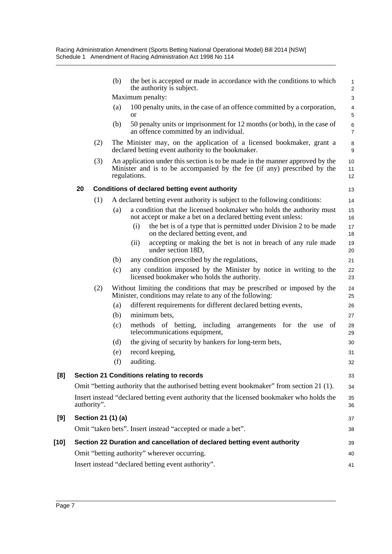|      |                    |     | (b)        | the bet is accepted or made in accordance with the conditions to which<br>the authority is subject.                                                                      | 1<br>$\overline{c}$ |
|------|--------------------|-----|------------|--------------------------------------------------------------------------------------------------------------------------------------------------------------------------|---------------------|
|      |                    |     |            | Maximum penalty:                                                                                                                                                         | 3                   |
|      |                    |     | (a)        | 100 penalty units, in the case of an offence committed by a corporation,<br><b>or</b>                                                                                    | 4<br>5              |
|      |                    |     | (b)        | 50 penalty units or imprisonment for 12 months (or both), in the case of<br>an offence committed by an individual.                                                       | 6<br>7              |
|      |                    | (2) |            | The Minister may, on the application of a licensed bookmaker, grant a<br>declared betting event authority to the bookmaker.                                              | 8<br>9              |
|      |                    | (3) |            | An application under this section is to be made in the manner approved by the<br>Minister and is to be accompanied by the fee (if any) prescribed by the<br>regulations. | 10<br>11<br>12      |
|      | 20                 |     |            | <b>Conditions of declared betting event authority</b>                                                                                                                    | 13                  |
|      |                    | (1) |            | A declared betting event authority is subject to the following conditions:                                                                                               | 14                  |
|      |                    |     | (a)        | a condition that the licensed bookmaker who holds the authority must<br>not accept or make a bet on a declared betting event unless:                                     | 15<br>16            |
|      |                    |     |            | the bet is of a type that is permitted under Division 2 to be made<br>(i)<br>on the declared betting event, and                                                          | 17<br>18            |
|      |                    |     |            | accepting or making the bet is not in breach of any rule made<br>(ii)<br>under section 18D,                                                                              | 19<br>20            |
|      |                    |     | (b)        | any condition prescribed by the regulations,                                                                                                                             | 21                  |
|      |                    |     | (c)        | any condition imposed by the Minister by notice in writing to the<br>licensed bookmaker who holds the authority.                                                         | 22<br>23            |
|      |                    | (2) |            | Without limiting the conditions that may be prescribed or imposed by the<br>Minister, conditions may relate to any of the following:                                     | 24<br>25            |
|      |                    |     | (a)<br>(b) | different requirements for different declared betting events,<br>minimum bets,                                                                                           | 26<br>27            |
|      |                    |     | (c)        | methods of betting, including<br>arrangements for the use<br>of<br>telecommunications equipment,                                                                         | 28<br>29            |
|      |                    |     | (d)        | the giving of security by bankers for long-term bets,                                                                                                                    | 30                  |
|      |                    |     | (e)        | record keeping,                                                                                                                                                          | 31                  |
|      |                    |     | (f)        | auditing.                                                                                                                                                                | 32                  |
| [8]  |                    |     |            | Section 21 Conditions relating to records                                                                                                                                | 33                  |
|      |                    |     |            | Omit "betting authority that the authorised betting event bookmaker" from section 21 (1).                                                                                | 34                  |
|      | authority".        |     |            | Insert instead "declared betting event authority that the licensed bookmaker who holds the                                                                               | 35<br>36            |
| [9]  | Section 21 (1) (a) |     |            |                                                                                                                                                                          | 37                  |
|      |                    |     |            | Omit "taken bets". Insert instead "accepted or made a bet".                                                                                                              | 38                  |
| [10] |                    |     |            | Section 22 Duration and cancellation of declared betting event authority                                                                                                 | 39                  |
|      |                    |     |            | Omit "betting authority" wherever occurring.                                                                                                                             | 40                  |
|      |                    |     |            | Insert instead "declared betting event authority".                                                                                                                       | 41                  |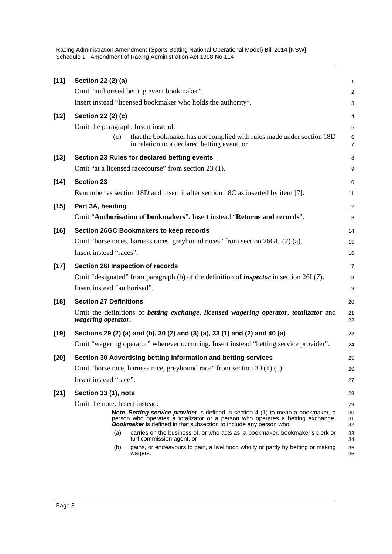| $[11]$ | Section 22 (2) (a)                                                                                                                                                                                                                                      | 1                   |
|--------|---------------------------------------------------------------------------------------------------------------------------------------------------------------------------------------------------------------------------------------------------------|---------------------|
|        | Omit "authorised betting event bookmaker".                                                                                                                                                                                                              | $\overline{2}$      |
|        | Insert instead "licensed bookmaker who holds the authority".                                                                                                                                                                                            | 3                   |
| $[12]$ | Section 22 (2) (c)                                                                                                                                                                                                                                      | 4                   |
|        | Omit the paragraph. Insert instead:                                                                                                                                                                                                                     | 5                   |
|        | that the bookmaker has not complied with rules made under section 18D<br>(c)<br>in relation to a declared betting event, or                                                                                                                             | 6<br>$\overline{7}$ |
| $[13]$ | Section 23 Rules for declared betting events                                                                                                                                                                                                            | 8                   |
|        | Omit "at a licensed racecourse" from section 23 (1).                                                                                                                                                                                                    | 9                   |
| $[14]$ | <b>Section 23</b>                                                                                                                                                                                                                                       | 10                  |
|        | Renumber as section 18D and insert it after section 18C as inserted by item [7].                                                                                                                                                                        | 11                  |
| $[15]$ | Part 3A, heading                                                                                                                                                                                                                                        | 12                  |
|        | Omit "Authorisation of bookmakers". Insert instead "Returns and records".                                                                                                                                                                               | 13                  |
| $[16]$ | <b>Section 26GC Bookmakers to keep records</b>                                                                                                                                                                                                          | 14                  |
|        | Omit "horse races, harness races, greyhound races" from section 26GC (2) (a).                                                                                                                                                                           | 15                  |
|        | Insert instead "races".                                                                                                                                                                                                                                 | 16                  |
| $[17]$ | Section 26I Inspection of records                                                                                                                                                                                                                       | 17                  |
|        | Omit "designated" from paragraph (b) of the definition of <i>inspector</i> in section 26I (7).                                                                                                                                                          | 18                  |
|        | Insert instead "authorised".                                                                                                                                                                                                                            | 19                  |
| $[18]$ | <b>Section 27 Definitions</b>                                                                                                                                                                                                                           | 20                  |
|        | Omit the definitions of <i>betting exchange</i> , <i>licensed wagering operator</i> , <i>totalizator</i> and<br>wagering operator.                                                                                                                      | 21<br>22            |
| [19]   | Sections 29 (2) (a) and (b), 30 (2) and (3) (a), 33 (1) and (2) and 40 (a)                                                                                                                                                                              | 23                  |
|        | Omit "wagering operator" wherever occurring. Insert instead "betting service provider".                                                                                                                                                                 | 24                  |
| $[20]$ | Section 30 Advertising betting information and betting services                                                                                                                                                                                         | 25                  |
|        | Omit "horse race, harness race, greyhound race" from section 30 (1) (c).                                                                                                                                                                                | 26                  |
|        | Insert instead "race".                                                                                                                                                                                                                                  | 27                  |
| $[21]$ | Section 33 (1), note                                                                                                                                                                                                                                    | 28                  |
|        | Omit the note. Insert instead:                                                                                                                                                                                                                          | 29                  |
|        | <b>Note. Betting service provider</b> is defined in section 4 (1) to mean a bookmaker, a<br>person who operates a totalizator or a person who operates a betting exchange.<br><b>Bookmaker</b> is defined in that subsection to include any person who: | 30<br>31<br>32      |
|        | carries on the business of, or who acts as, a bookmaker, bookmaker's clerk or<br>(a)<br>turf commission agent, or                                                                                                                                       | 33<br>34            |
|        | gains, or endeavours to gain, a livelihood wholly or partly by betting or making<br>(b)<br>wagers.                                                                                                                                                      | 35<br>36            |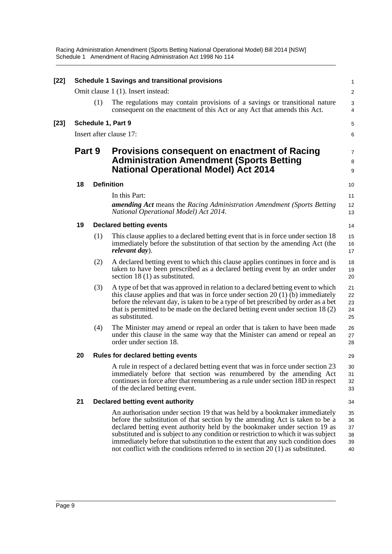| $[22]$ |        |     | <b>Schedule 1 Savings and transitional provisions</b>                                                                                                                                                                                                                                                                                                                                                                                                                                                | 1                                |
|--------|--------|-----|------------------------------------------------------------------------------------------------------------------------------------------------------------------------------------------------------------------------------------------------------------------------------------------------------------------------------------------------------------------------------------------------------------------------------------------------------------------------------------------------------|----------------------------------|
|        |        |     | Omit clause 1 (1). Insert instead:                                                                                                                                                                                                                                                                                                                                                                                                                                                                   | 2                                |
|        |        | (1) | The regulations may contain provisions of a savings or transitional nature<br>consequent on the enactment of this Act or any Act that amends this Act.                                                                                                                                                                                                                                                                                                                                               | 3<br>4                           |
| $[23]$ |        |     | Schedule 1, Part 9                                                                                                                                                                                                                                                                                                                                                                                                                                                                                   | $\mathbf 5$                      |
|        |        |     | Insert after clause 17:                                                                                                                                                                                                                                                                                                                                                                                                                                                                              | 6                                |
|        | Part 9 |     | Provisions consequent on enactment of Racing<br><b>Administration Amendment (Sports Betting</b>                                                                                                                                                                                                                                                                                                                                                                                                      |                                  |
|        |        |     | <b>National Operational Model) Act 2014</b>                                                                                                                                                                                                                                                                                                                                                                                                                                                          | 9                                |
|        | 18     |     | <b>Definition</b>                                                                                                                                                                                                                                                                                                                                                                                                                                                                                    | 10                               |
|        |        |     | In this Part:                                                                                                                                                                                                                                                                                                                                                                                                                                                                                        | 11                               |
|        |        |     | <b>amending Act</b> means the Racing Administration Amendment (Sports Betting)<br>National Operational Model) Act 2014.                                                                                                                                                                                                                                                                                                                                                                              | 12<br>13                         |
|        | 19     |     | <b>Declared betting events</b>                                                                                                                                                                                                                                                                                                                                                                                                                                                                       | 14                               |
|        |        | (1) | This clause applies to a declared betting event that is in force under section 18<br>immediately before the substitution of that section by the amending Act (the<br><i>relevant day</i> ).                                                                                                                                                                                                                                                                                                          | 15<br>16<br>17                   |
|        |        | (2) | A declared betting event to which this clause applies continues in force and is<br>taken to have been prescribed as a declared betting event by an order under<br>section $18(1)$ as substituted.                                                                                                                                                                                                                                                                                                    | 18<br>19<br>20                   |
|        |        | (3) | A type of bet that was approved in relation to a declared betting event to which<br>this clause applies and that was in force under section 20 $(1)$ (b) immediately<br>before the relevant day, is taken to be a type of bet prescribed by order as a bet<br>that is permitted to be made on the declared betting event under section 18 (2)<br>as substituted.                                                                                                                                     | 21<br>22<br>23<br>24<br>25       |
|        |        | (4) | The Minister may amend or repeal an order that is taken to have been made<br>under this clause in the same way that the Minister can amend or repeal an<br>order under section 18.                                                                                                                                                                                                                                                                                                                   | 26<br>27<br>28                   |
|        | 20     |     | <b>Rules for declared betting events</b>                                                                                                                                                                                                                                                                                                                                                                                                                                                             | 29                               |
|        |        |     | A rule in respect of a declared betting event that was in force under section 23<br>immediately before that section was renumbered by the amending Act<br>continues in force after that renumbering as a rule under section 18D in respect<br>of the declared betting event.                                                                                                                                                                                                                         | 30<br>31<br>32<br>33             |
|        | 21     |     | Declared betting event authority                                                                                                                                                                                                                                                                                                                                                                                                                                                                     | 34                               |
|        |        |     | An authorisation under section 19 that was held by a bookmaker immediately<br>before the substitution of that section by the amending Act is taken to be a<br>declared betting event authority held by the bookmaker under section 19 as<br>substituted and is subject to any condition or restriction to which it was subject<br>immediately before that substitution to the extent that any such condition does<br>not conflict with the conditions referred to in section $20(1)$ as substituted. | 35<br>36<br>37<br>38<br>39<br>40 |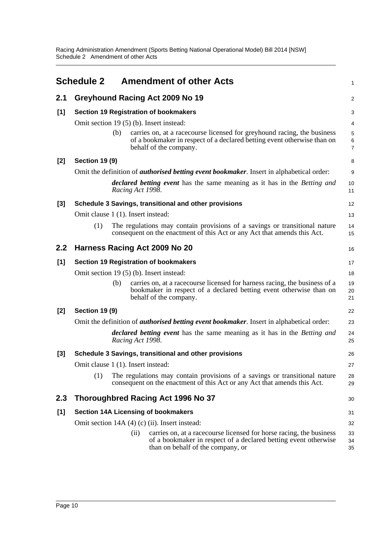Racing Administration Amendment (Sports Betting National Operational Model) Bill 2014 [NSW] Schedule 2 Amendment of other Acts

<span id="page-14-0"></span>

|       | <b>Schedule 2</b>     |     | <b>Amendment of other Acts</b>                                                                                                                                                      | $\mathbf{1}$                              |
|-------|-----------------------|-----|-------------------------------------------------------------------------------------------------------------------------------------------------------------------------------------|-------------------------------------------|
| 2.1   |                       |     | Greyhound Racing Act 2009 No 19                                                                                                                                                     | 2                                         |
| [1]   |                       |     | <b>Section 19 Registration of bookmakers</b>                                                                                                                                        | $\sqrt{3}$                                |
|       |                       |     | Omit section 19 (5) (b). Insert instead:                                                                                                                                            | 4                                         |
|       |                       | (b) | carries on, at a racecourse licensed for greyhound racing, the business<br>of a bookmaker in respect of a declared betting event otherwise than on<br>behalf of the company.        | $\sqrt{5}$<br>$\,6\,$<br>$\boldsymbol{7}$ |
| $[2]$ | <b>Section 19 (9)</b> |     |                                                                                                                                                                                     | 8                                         |
|       |                       |     | Omit the definition of <i>authorised betting event bookmaker</i> . Insert in alphabetical order:                                                                                    | 9                                         |
|       |                       |     | declared betting event has the same meaning as it has in the Betting and<br>Racing Act 1998.                                                                                        | 10<br>11                                  |
| $[3]$ |                       |     | Schedule 3 Savings, transitional and other provisions                                                                                                                               | 12                                        |
|       |                       |     | Omit clause 1 (1). Insert instead:                                                                                                                                                  | 13                                        |
|       | (1)                   |     | The regulations may contain provisions of a savings or transitional nature<br>consequent on the enactment of this Act or any Act that amends this Act.                              | 14<br>15                                  |
| 2.2   |                       |     | Harness Racing Act 2009 No 20                                                                                                                                                       | 16                                        |
| [1]   |                       |     | <b>Section 19 Registration of bookmakers</b>                                                                                                                                        | 17                                        |
|       |                       |     | Omit section 19(5)(b). Insert instead:                                                                                                                                              | 18                                        |
|       |                       | (b) | carries on, at a racecourse licensed for harness racing, the business of a<br>bookmaker in respect of a declared betting event otherwise than on<br>behalf of the company.          | 19<br>20<br>21                            |
| $[2]$ | <b>Section 19 (9)</b> |     |                                                                                                                                                                                     | 22                                        |
|       |                       |     | Omit the definition of <i>authorised betting event bookmaker</i> . Insert in alphabetical order:                                                                                    | 23                                        |
|       |                       |     | <i>declared betting event</i> has the same meaning as it has in the <i>Betting and</i><br>Racing Act 1998.                                                                          | 24<br>25                                  |
| $[3]$ |                       |     | Schedule 3 Savings, transitional and other provisions                                                                                                                               | 26                                        |
|       |                       |     | Omit clause 1 (1). Insert instead:                                                                                                                                                  | 27                                        |
|       | (1)                   |     | The regulations may contain provisions of a savings or transitional nature<br>consequent on the enactment of this Act or any Act that amends this Act.                              | 28<br>29                                  |
| 2.3   |                       |     | <b>Thoroughbred Racing Act 1996 No 37</b>                                                                                                                                           | 30                                        |
| [1]   |                       |     | <b>Section 14A Licensing of bookmakers</b>                                                                                                                                          | 31                                        |
|       |                       |     | Omit section 14A (4) (c) (ii). Insert instead:                                                                                                                                      | 32                                        |
|       |                       |     | carries on, at a racecourse licensed for horse racing, the business<br>(ii)<br>of a bookmaker in respect of a declared betting event otherwise<br>than on behalf of the company, or | 33<br>34<br>35                            |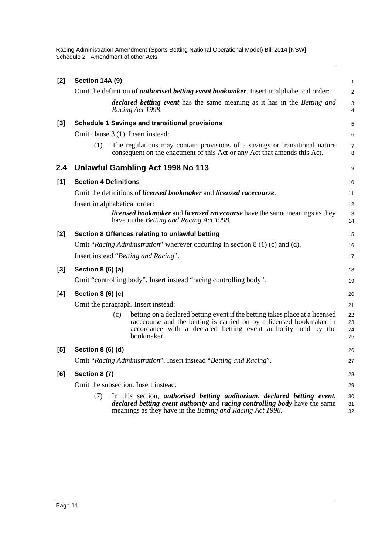Racing Administration Amendment (Sports Betting National Operational Model) Bill 2014 [NSW] Schedule 2 Amendment of other Acts

| $[2]$ | Section 14A (9)                                                                                                                     |                               |                                                                                                                                                                                                                                     | $\mathbf{1}$         |  |  |  |
|-------|-------------------------------------------------------------------------------------------------------------------------------------|-------------------------------|-------------------------------------------------------------------------------------------------------------------------------------------------------------------------------------------------------------------------------------|----------------------|--|--|--|
|       |                                                                                                                                     |                               | Omit the definition of <i>authorised betting event bookmaker</i> . Insert in alphabetical order:                                                                                                                                    | $\overline{2}$       |  |  |  |
|       |                                                                                                                                     |                               | declared betting event has the same meaning as it has in the Betting and<br>Racing Act 1998.                                                                                                                                        | 3<br>$\overline{4}$  |  |  |  |
| $[3]$ |                                                                                                                                     |                               | <b>Schedule 1 Savings and transitional provisions</b>                                                                                                                                                                               | 5                    |  |  |  |
|       |                                                                                                                                     |                               | Omit clause 3 (1). Insert instead:                                                                                                                                                                                                  | 6                    |  |  |  |
|       | (1)                                                                                                                                 |                               | The regulations may contain provisions of a savings or transitional nature<br>consequent on the enactment of this Act or any Act that amends this Act.                                                                              | $\overline{7}$<br>8  |  |  |  |
| 2.4   |                                                                                                                                     |                               | <b>Unlawful Gambling Act 1998 No 113</b>                                                                                                                                                                                            | 9                    |  |  |  |
| $[1]$ | <b>Section 4 Definitions</b>                                                                                                        |                               |                                                                                                                                                                                                                                     | 10                   |  |  |  |
|       |                                                                                                                                     |                               | Omit the definitions of <i>licensed bookmaker</i> and <i>licensed racecourse</i> .                                                                                                                                                  | 11                   |  |  |  |
|       |                                                                                                                                     | Insert in alphabetical order: |                                                                                                                                                                                                                                     |                      |  |  |  |
|       | <i>licensed bookmaker</i> and <i>licensed racecourse</i> have the same meanings as they<br>have in the Betting and Racing Act 1998. |                               |                                                                                                                                                                                                                                     |                      |  |  |  |
| $[2]$ | Section 8 Offences relating to unlawful betting                                                                                     |                               |                                                                                                                                                                                                                                     |                      |  |  |  |
|       | Omit "Racing Administration" wherever occurring in section 8 (1) (c) and (d).                                                       |                               |                                                                                                                                                                                                                                     |                      |  |  |  |
|       | Insert instead "Betting and Racing".                                                                                                |                               |                                                                                                                                                                                                                                     |                      |  |  |  |
| $[3]$ | Section 8 (6) (a)                                                                                                                   |                               |                                                                                                                                                                                                                                     | 18                   |  |  |  |
|       |                                                                                                                                     |                               | Omit "controlling body". Insert instead "racing controlling body".                                                                                                                                                                  | 19                   |  |  |  |
| [4]   | Section $8(6)(c)$                                                                                                                   |                               |                                                                                                                                                                                                                                     | 20                   |  |  |  |
|       |                                                                                                                                     |                               | Omit the paragraph. Insert instead:                                                                                                                                                                                                 | 21                   |  |  |  |
|       |                                                                                                                                     | (c)                           | betting on a declared betting event if the betting takes place at a licensed<br>racecourse and the betting is carried on by a licensed bookmaker in<br>accordance with a declared betting event authority held by the<br>bookmaker, | 22<br>23<br>24<br>25 |  |  |  |
| [5]   | Section 8 (6) (d)                                                                                                                   |                               |                                                                                                                                                                                                                                     | 26                   |  |  |  |
|       |                                                                                                                                     |                               | Omit "Racing Administration". Insert instead "Betting and Racing".                                                                                                                                                                  | 27                   |  |  |  |
| [6]   | Section 8 (7)                                                                                                                       |                               |                                                                                                                                                                                                                                     | 28                   |  |  |  |
|       |                                                                                                                                     |                               | Omit the subsection. Insert instead:                                                                                                                                                                                                | 29                   |  |  |  |
|       | (7)                                                                                                                                 |                               | In this section, <i>authorised betting auditorium</i> , <i>declared betting event</i> ,<br>declared betting event authority and racing controlling body have the same<br>meanings as they have in the Betting and Racing Act 1998.  | 30<br>31<br>32       |  |  |  |